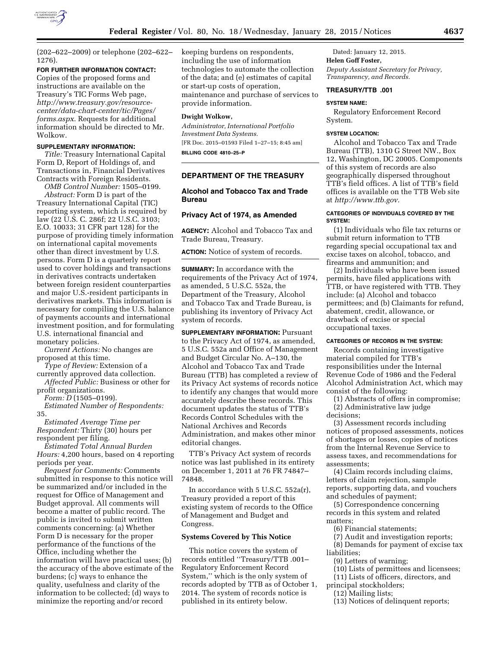

(202–622–2009) or telephone (202–622– 1276).

#### **FOR FURTHER INFORMATION CONTACT:**

Copies of the proposed forms and instructions are available on the Treasury's TIC Forms Web page, *[http://www.treasury.gov/resource](http://www.treasury.gov/resource-center/data-chart-center/tic/Pages/forms.aspx)[center/data-chart-center/tic/Pages/](http://www.treasury.gov/resource-center/data-chart-center/tic/Pages/forms.aspx) [forms.aspx](http://www.treasury.gov/resource-center/data-chart-center/tic/Pages/forms.aspx)*. Requests for additional information should be directed to Mr. Wolkow.

# **SUPPLEMENTARY INFORMATION:**

*Title:* Treasury International Capital Form D, Report of Holdings of, and Transactions in, Financial Derivatives Contracts with Foreign Residents.

*OMB Control Number:* 1505–0199. *Abstract:* Form D is part of the Treasury International Capital (TIC) reporting system, which is required by law (22 U.S. C. 286f; 22 U.S.C. 3103; E.O. 10033; 31 CFR part 128) for the purpose of providing timely information on international capital movements other than direct investment by U.S. persons. Form D is a quarterly report used to cover holdings and transactions in derivatives contracts undertaken between foreign resident counterparties and major U.S.-resident participants in derivatives markets. This information is necessary for compiling the U.S. balance of payments accounts and international investment position, and for formulating U.S. international financial and monetary policies.

*Current Actions:* No changes are proposed at this time.

*Type of Review:* Extension of a currently approved data collection.

*Affected Public:* Business or other for profit organizations.

*Form: D* (1505–0199).

*Estimated Number of Respondents:*  35.

*Estimated Average Time per Respondent:* Thirty (30) hours per respondent per filing.

*Estimated Total Annual Burden Hours:* 4,200 hours, based on 4 reporting periods per year.

*Request for Comments:* Comments submitted in response to this notice will be summarized and/or included in the request for Office of Management and Budget approval. All comments will become a matter of public record. The public is invited to submit written comments concerning: (a) Whether Form D is necessary for the proper performance of the functions of the Office, including whether the information will have practical uses; (b) the accuracy of the above estimate of the burdens; (c) ways to enhance the quality, usefulness and clarity of the information to be collected; (d) ways to minimize the reporting and/or record

keeping burdens on respondents, including the use of information technologies to automate the collection of the data; and (e) estimates of capital or start-up costs of operation, maintenance and purchase of services to provide information.

# **Dwight Wolkow,**

*Administrator, International Portfolio Investment Data Systems.*  [FR Doc. 2015–01593 Filed 1–27–15; 8:45 am] **BILLING CODE 4810–25–P** 

**DEPARTMENT OF THE TREASURY** 

# **Alcohol and Tobacco Tax and Trade Bureau**

# **Privacy Act of 1974, as Amended**

**AGENCY:** Alcohol and Tobacco Tax and Trade Bureau, Treasury.

**ACTION:** Notice of system of records.

**SUMMARY:** In accordance with the requirements of the Privacy Act of 1974, as amended, 5 U.S.C. 552a, the Department of the Treasury, Alcohol and Tobacco Tax and Trade Bureau, is publishing its inventory of Privacy Act system of records.

**SUPPLEMENTARY INFORMATION: Pursuant** to the Privacy Act of 1974, as amended, 5 U.S.C. 552a and Office of Management and Budget Circular No. A–130, the Alcohol and Tobacco Tax and Trade Bureau (TTB) has completed a review of its Privacy Act systems of records notice to identify any changes that would more accurately describe these records. This document updates the status of TTB's Records Control Schedules with the National Archives and Records Administration, and makes other minor editorial changes.

TTB's Privacy Act system of records notice was last published in its entirety on December 1, 2011 at 76 FR 74847– 74848.

In accordance with 5 U.S.C. 552a(r), Treasury provided a report of this existing system of records to the Office of Management and Budget and Congress.

## **Systems Covered by This Notice**

This notice covers the system of records entitled ''Treasury/TTB .001– Regulatory Enforcement Record System,'' which is the only system of records adopted by TTB as of October 1, 2014. The system of records notice is published in its entirety below.

Dated: January 12, 2015. **Helen Goff Foster,**  *Deputy Assistant Secretary for Privacy, Transparency, and Records.* 

### **TREASURY/TTB .001**

### **SYSTEM NAME:**

Regulatory Enforcement Record System.

## **SYSTEM LOCATION:**

Alcohol and Tobacco Tax and Trade Bureau (TTB), 1310 G Street NW., Box 12, Washington, DC 20005. Components of this system of records are also geographically dispersed throughout TTB's field offices. A list of TTB's field offices is available on the TTB Web site at *[http://www.ttb.gov.](http://www.ttb.gov)* 

### **CATEGORIES OF INDIVIDUALS COVERED BY THE SYSTEM:**

(1) Individuals who file tax returns or submit return information to TTB regarding special occupational tax and excise taxes on alcohol, tobacco, and firearms and ammunition; and

(2) Individuals who have been issued permits, have filed applications with TTB, or have registered with TTB. They include: (a) Alcohol and tobacco permittees; and (b) Claimants for refund, abatement, credit, allowance, or drawback of excise or special occupational taxes.

## **CATEGORIES OF RECORDS IN THE SYSTEM:**

Records containing investigative material compiled for TTB's responsibilities under the Internal Revenue Code of 1986 and the Federal Alcohol Administration Act, which may consist of the following:

(1) Abstracts of offers in compromise; (2) Administrative law judge decisions;

(3) Assessment records including notices of proposed assessments, notices of shortages or losses, copies of notices from the Internal Revenue Service to assess taxes, and recommendations for assessments;

(4) Claim records including claims, letters of claim rejection, sample reports, supporting data, and vouchers and schedules of payment;

(5) Correspondence concerning records in this system and related matters;

- (6) Financial statements;
- (7) Audit and investigation reports; (8) Demands for payment of excise tax
- liabilities;
	- (9) Letters of warning;
	- (10) Lists of permittees and licensees;
- (11) Lists of officers, directors, and
- principal stockholders;
	- (12) Mailing lists;
	- (13) Notices of delinquent reports;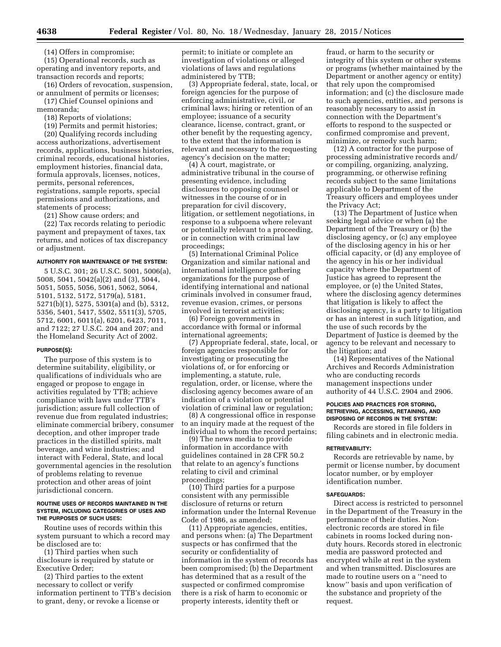(14) Offers in compromise;

(15) Operational records, such as operating and inventory reports, and transaction records and reports;

(16) Orders of revocation, suspension, or annulment of permits or licenses;

(17) Chief Counsel opinions and memoranda;

(18) Reports of violations;

(19) Permits and permit histories;

(20) Qualifying records including access authorizations, advertisement records, applications, business histories, criminal records, educational histories, employment histories, financial data, formula approvals, licenses, notices, permits, personal references, registrations, sample reports, special permissions and authorizations, and statements of process;

(21) Show cause orders; and

(22) Tax records relating to periodic payment and prepayment of taxes, tax returns, and notices of tax discrepancy or adjustment.

#### **AUTHORITY FOR MAINTENANCE OF THE SYSTEM:**

5 U.S.C. 301; 26 U.S.C. 5001, 5006(a), 5008, 5041, 5042(a)(2) and (3), 5044, 5051, 5055, 5056, 5061, 5062, 5064, 5101, 5132, 5172, 5179(a), 5181, 5271(b)(1), 5275, 5301(a) and (b), 5312, 5356, 5401, 5417, 5502, 5511(3), 5705, 5712, 6001, 6011(a), 6201, 6423, 7011, and 7122; 27 U.S.C. 204 and 207; and the Homeland Security Act of 2002.

### **PURPOSE(S):**

The purpose of this system is to determine suitability, eligibility, or qualifications of individuals who are engaged or propose to engage in activities regulated by TTB; achieve compliance with laws under TTB's jurisdiction; assure full collection of revenue due from regulated industries; eliminate commercial bribery, consumer deception, and other improper trade practices in the distilled spirits, malt beverage, and wine industries; and interact with Federal, State, and local governmental agencies in the resolution of problems relating to revenue protection and other areas of joint jurisdictional concern.

## **ROUTINE USES OF RECORDS MAINTAINED IN THE SYSTEM, INCLUDING CATEGORIES OF USES AND THE PURPOSES OF SUCH USES:**

Routine uses of records within this system pursuant to which a record may be disclosed are to:

(1) Third parties when such disclosure is required by statute or Executive Order;

(2) Third parties to the extent necessary to collect or verify information pertinent to TTB's decision to grant, deny, or revoke a license or

permit; to initiate or complete an investigation of violations or alleged violations of laws and regulations administered by TTB;

(3) Appropriate federal, state, local, or foreign agencies for the purpose of enforcing administrative, civil, or criminal laws; hiring or retention of an employee; issuance of a security clearance, license, contract, grant, or other benefit by the requesting agency, to the extent that the information is relevant and necessary to the requesting agency's decision on the matter;

(4) A court, magistrate, or administrative tribunal in the course of presenting evidence, including disclosures to opposing counsel or witnesses in the course of or in preparation for civil discovery, litigation, or settlement negotiations, in response to a subpoena where relevant or potentially relevant to a proceeding, or in connection with criminal law proceedings;

(5) International Criminal Police Organization and similar national and international intelligence gathering organizations for the purpose of identifying international and national criminals involved in consumer fraud, revenue evasion, crimes, or persons involved in terrorist activities;

(6) Foreign governments in accordance with formal or informal international agreements;

(7) Appropriate federal, state, local, or foreign agencies responsible for investigating or prosecuting the violations of, or for enforcing or implementing, a statute, rule, regulation, order, or license, where the disclosing agency becomes aware of an indication of a violation or potential violation of criminal law or regulation;

(8) A congressional office in response to an inquiry made at the request of the individual to whom the record pertains;

(9) The news media to provide information in accordance with guidelines contained in 28 CFR 50.2 that relate to an agency's functions relating to civil and criminal proceedings;

(10) Third parties for a purpose consistent with any permissible disclosure of returns or return information under the Internal Revenue Code of 1986, as amended;

(11) Appropriate agencies, entities, and persons when: (a) The Department suspects or has confirmed that the security or confidentiality of information in the system of records has been compromised; (b) the Department has determined that as a result of the suspected or confirmed compromise there is a risk of harm to economic or property interests, identity theft or

fraud, or harm to the security or integrity of this system or other systems or programs (whether maintained by the Department or another agency or entity) that rely upon the compromised information; and (c) the disclosure made to such agencies, entities, and persons is reasonably necessary to assist in connection with the Department's efforts to respond to the suspected or confirmed compromise and prevent, minimize, or remedy such harm;

(12) A contractor for the purpose of processing administrative records and/ or compiling, organizing, analyzing, programming, or otherwise refining records subject to the same limitations applicable to Department of the Treasury officers and employees under the Privacy Act;

(13) The Department of Justice when seeking legal advice or when (a) the Department of the Treasury or (b) the disclosing agency, or (c) any employee of the disclosing agency in his or her official capacity, or (d) any employee of the agency in his or her individual capacity where the Department of Justice has agreed to represent the employee, or (e) the United States, where the disclosing agency determines that litigation is likely to affect the disclosing agency, is a party to litigation or has an interest in such litigation, and the use of such records by the Department of Justice is deemed by the agency to be relevant and necessary to the litigation; and

(14) Representatives of the National Archives and Records Administration who are conducting records management inspections under authority of 44 U.S.C. 2904 and 2906.

### **POLICIES AND PRACTICES FOR STORING, RETRIEVING, ACCESSING, RETAINING, AND DISPOSING OF RECORDS IN THE SYSTEM:**

Records are stored in file folders in filing cabinets and in electronic media.

#### **RETRIEVABILITY:**

Records are retrievable by name, by permit or license number, by document locator number, or by employer identification number.

## **SAFEGUARDS:**

Direct access is restricted to personnel in the Department of the Treasury in the performance of their duties. Nonelectronic records are stored in file cabinets in rooms locked during nonduty hours. Records stored in electronic media are password protected and encrypted while at rest in the system and when transmitted. Disclosures are made to routine users on a ''need to know'' basis and upon verification of the substance and propriety of the request.